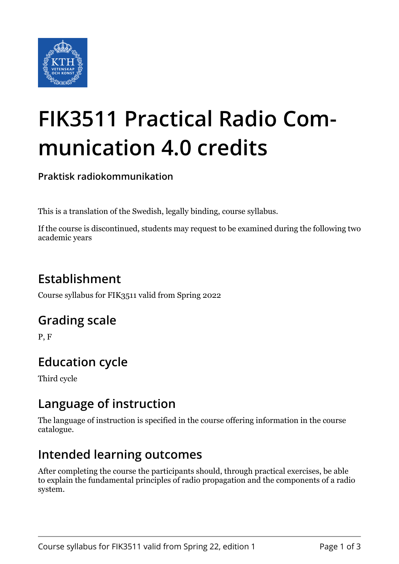

# **FIK3511 Practical Radio Communication 4.0 credits**

**Praktisk radiokommunikation**

This is a translation of the Swedish, legally binding, course syllabus.

If the course is discontinued, students may request to be examined during the following two academic years

# **Establishment**

Course syllabus for FIK3511 valid from Spring 2022

### **Grading scale**

P, F

# **Education cycle**

Third cycle

### **Language of instruction**

The language of instruction is specified in the course offering information in the course catalogue.

### **Intended learning outcomes**

After completing the course the participants should, through practical exercises, be able to explain the fundamental principles of radio propagation and the components of a radio system.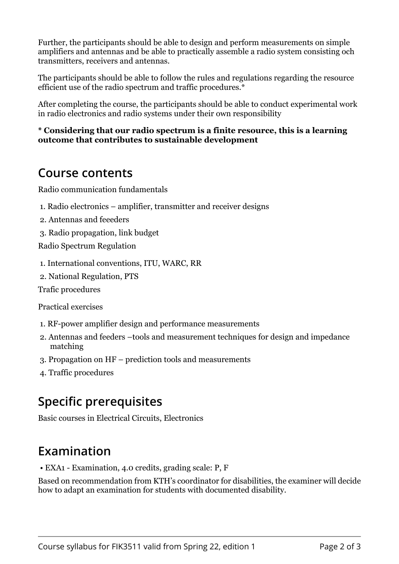Further, the participants should be able to design and perform measurements on simple amplifiers and antennas and be able to practically assemble a radio system consisting och transmitters, receivers and antennas.

The participants should be able to follow the rules and regulations regarding the resource efficient use of the radio spectrum and traffic procedures.\*

After completing the course, the participants should be able to conduct experimental work in radio electronics and radio systems under their own responsibility

#### \* Considering that our radio spectrum is a finite resource, this is a learning **coutcome that contributes to sustainable development**

### **Course contents**

Radio communication fundamentals

- 1. Radio electronics amplifier, transmitter and receiver designs
- 2. Antennas and feeeders
- 3. Radio propagation, link budget

Radio Spectrum Regulation

1. International conventions, ITU, WARC, RR

2. National Regulation, PTS

Trafic procedures

Practical exercises

- 1. RF-power amplifier design and performance measurements
- 2. Antennas and feeders –tools and measurement techniques for design and impedance matching
- 3. Propagation on HF prediction tools and measurements
- 4. Traffic procedures

# **Specific prerequisites**

Basic courses in Electrical Circuits, Electronics

### **Examination**

• EXA1 - Examination, 4.0 credits, grading scale: P, F

Based on recommendation from KTH's coordinator for disabilities, the examiner will decide how to adapt an examination for students with documented disability.